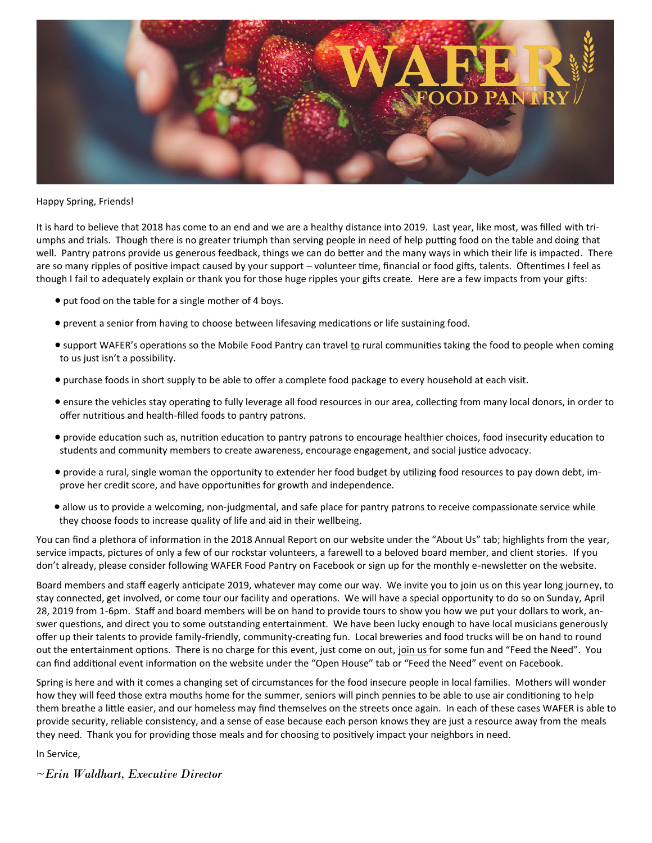

## Happy Spring, Friends!

It is hard to believe that 2018 has come to an end and we are a healthy distance into 2019. Last year, like most, was filled with triumphs and trials. Though there is no greater triumph than serving people in need of help putting food on the table and doing that well. Pantry patrons provide us generous feedback, things we can do better and the many ways in which their life is impacted. There are so many ripples of positive impact caused by your support – volunteer time, financial or food gifts, talents. Oftentimes I feel as though I fail to adequately explain or thank you for those huge ripples your gifts create. Here are a few impacts from your gifts:

- put food on the table for a single mother of 4 boys.
- prevent a senior from having to choose between lifesaving medications or life sustaining food.
- support WAFER's operations so the Mobile Food Pantry can travel to rural communities taking the food to people when coming to us just isn't a possibility.
- purchase foods in short supply to be able to offer a complete food package to every household at each visit.
- ensure the vehicles stay operating to fully leverage all food resources in our area, collecting from many local donors, in order to offer nutritious and health-filled foods to pantry patrons.
- provide education such as, nutrition education to pantry patrons to encourage healthier choices, food insecurity education to students and community members to create awareness, encourage engagement, and social justice advocacy.
- provide a rural, single woman the opportunity to extender her food budget by utilizing food resources to pay down debt, improve her credit score, and have opportunities for growth and independence.
- allow us to provide a welcoming, non-judgmental, and safe place for pantry patrons to receive compassionate service while they choose foods to increase quality of life and aid in their wellbeing.

You can find a plethora of information in the 2018 Annual Report on our website under the "About Us" tab; highlights from the year, service impacts, pictures of only a few of our rockstar volunteers, a farewell to a beloved board member, and client stories. If you don't already, please consider following WAFER Food Pantry on Facebook or sign up for the monthly e-newsletter on the website.

Board members and staff eagerly anticipate 2019, whatever may come our way. We invite you to join us on this year long journey, to stay connected, get involved, or come tour our facility and operations. We will have a special opportunity to do so on Sunday, April 28, 2019 from 1-6pm. Staff and board members will be on hand to provide tours to show you how we put your dollars to work, answer questions, and direct you to some outstanding entertainment. We have been lucky enough to have local musicians generously offer up their talents to provide family-friendly, community-creating fun. Local breweries and food trucks will be on hand to round out the entertainment options. There is no charge for this event, just come on out, join us for some fun and "Feed the Need". You can find additional event information on the website under the "Open House" tab or "Feed the Need" event on Facebook.

Spring is here and with it comes a changing set of circumstances for the food insecure people in local families. Mothers will wonder how they will feed those extra mouths home for the summer, seniors will pinch pennies to be able to use air conditioning to help them breathe a little easier, and our homeless may find themselves on the streets once again. In each of these cases WAFER is able to provide security, reliable consistency, and a sense of ease because each person knows they are just a resource away from the meals they need. Thank you for providing those meals and for choosing to positively impact your neighbors in need.

In Service,

*~Erin Waldhart, Executive Director*